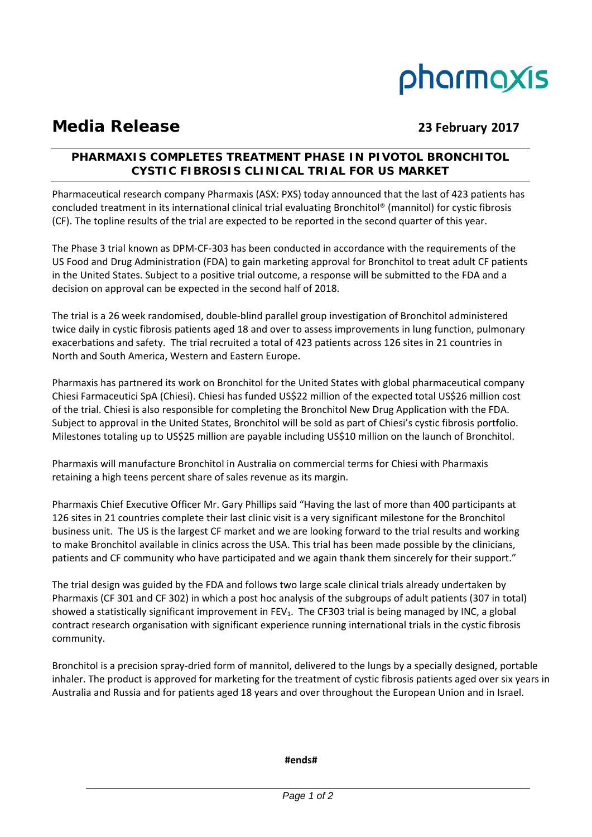# pharmaxis

# **Media Release 23 February 2017**

# **PHARMAXIS COMPLETES TREATMENT PHASE IN PIVOTOL BRONCHITOL CYSTIC FIBROSIS CLINICAL TRIAL FOR US MARKET**

Pharmaceutical research company Pharmaxis (ASX: PXS) today announced that the last of 423 patients has concluded treatment in its international clinical trial evaluating Bronchitol® (mannitol) for cystic fibrosis (CF). The topline results of the trial are expected to be reported in the second quarter of this year.

The Phase 3 trial known as DPM‐CF‐303 has been conducted in accordance with the requirements of the US Food and Drug Administration (FDA) to gain marketing approval for Bronchitol to treat adult CF patients in the United States. Subject to a positive trial outcome, a response will be submitted to the FDA and a decision on approval can be expected in the second half of 2018.

The trial is a 26 week randomised, double‐blind parallel group investigation of Bronchitol administered twice daily in cystic fibrosis patients aged 18 and over to assess improvements in lung function, pulmonary exacerbations and safety. The trial recruited a total of 423 patients across 126 sites in 21 countries in North and South America, Western and Eastern Europe.

Pharmaxis has partnered its work on Bronchitol for the United States with global pharmaceutical company Chiesi Farmaceutici SpA (Chiesi). Chiesi has funded US\$22 million of the expected total US\$26 million cost of the trial. Chiesi is also responsible for completing the Bronchitol New Drug Application with the FDA. Subject to approval in the United States, Bronchitol will be sold as part of Chiesi's cystic fibrosis portfolio. Milestones totaling up to US\$25 million are payable including US\$10 million on the launch of Bronchitol.

Pharmaxis will manufacture Bronchitol in Australia on commercial terms for Chiesi with Pharmaxis retaining a high teens percent share of sales revenue as its margin.

Pharmaxis Chief Executive Officer Mr. Gary Phillips said "Having the last of more than 400 participants at 126 sites in 21 countries complete their last clinic visit is a very significant milestone for the Bronchitol business unit. The US is the largest CF market and we are looking forward to the trial results and working to make Bronchitol available in clinics across the USA. This trial has been made possible by the clinicians, patients and CF community who have participated and we again thank them sincerely for their support."

The trial design was guided by the FDA and follows two large scale clinical trials already undertaken by Pharmaxis (CF 301 and CF 302) in which a post hoc analysis of the subgroups of adult patients (307 in total) showed a statistically significant improvement in  $FEV<sub>1</sub>$ . The CF303 trial is being managed by INC, a global contract research organisation with significant experience running international trials in the cystic fibrosis community.

Bronchitol is a precision spray‐dried form of mannitol, delivered to the lungs by a specially designed, portable inhaler. The product is approved for marketing for the treatment of cystic fibrosis patients aged over six years in Australia and Russia and for patients aged 18 years and over throughout the European Union and in Israel.

**#ends#**